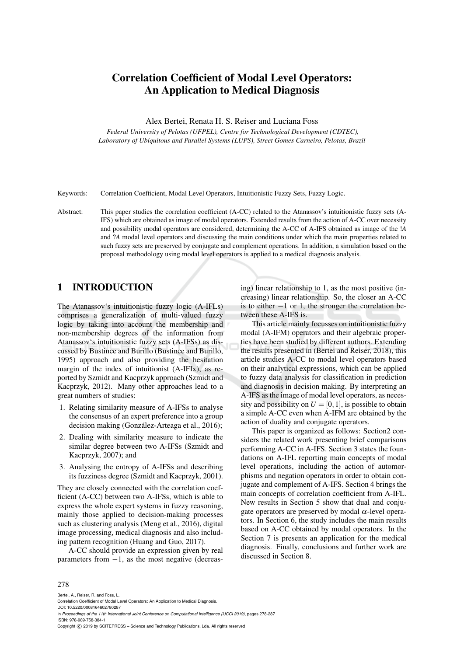# Correlation Coefficient of Modal Level Operators: An Application to Medical Diagnosis

Alex Bertei, Renata H. S. Reiser and Luciana Foss

*Federal University of Pelotas (UFPEL), Centre for Technological Development (CDTEC), Laboratory of Ubiquitous and Parallel Systems (LUPS), Street Gomes Carneiro, Pelotas, Brazil*

Keywords: Correlation Coefficient, Modal Level Operators, Intuitionistic Fuzzy Sets, Fuzzy Logic.

Abstract: This paper studies the correlation coefficient (A-CC) related to the Atanassov's intuitionistic fuzzy sets (A-IFS) which are obtained as image of modal operators. Extended results from the action of A-CC over necessity and possibility modal operators are considered, determining the A-CC of A-IFS obtained as image of the !*A* and ?*A* modal level operators and discussing the main conditions under which the main properties related to such fuzzy sets are preserved by conjugate and complement operations. In addition, a simulation based on the proposal methodology using modal level operators is applied to a medical diagnosis analysis.

### 1 INTRODUCTION

The Atanassov's intuitionistic fuzzy logic (A-IFLs) comprises a generalization of multi-valued fuzzy logic by taking into account the membership and non-membership degrees of the information from Atanassov's intuitionistic fuzzy sets (A-IFSs) as discussed by Bustince and Burillo (Bustince and Burillo, 1995) approach and also providing the hesitation margin of the index of intuitionist (A-IFIx), as reported by Szmidt and Kacprzyk approach (Szmidt and Kacprzyk, 2012). Many other approaches lead to a great numbers of studies:

- 1. Relating similarity measure of A-IFSs to analyse the consensus of an expert preference into a group decision making (González-Arteaga et al., 2016);
- 2. Dealing with similarity measure to indicate the similar degree between two A-IFSs (Szmidt and Kacprzyk, 2007); and
- 3. Analysing the entropy of A-IFSs and describing its fuzziness degree (Szmidt and Kacprzyk, 2001).

They are closely connected with the correlation coefficient (A-CC) between two A-IFSs, which is able to express the whole expert systems in fuzzy reasoning, mainly those applied to decision-making processes such as clustering analysis (Meng et al., 2016), digital image processing, medical diagnosis and also including pattern recognition (Huang and Guo, 2017).

A-CC should provide an expression given by real parameters from  $-1$ , as the most negative (decreas-

ing) linear relationship to 1, as the most positive (increasing) linear relationship. So, the closer an A-CC is to either  $-1$  or 1, the stronger the correlation between these A-IFS is.

This article mainly focusses on intuitionistic fuzzy modal (A-IFM) operators and their algebraic properties have been studied by different authors. Extending the results presented in (Bertei and Reiser, 2018), this article studies A-CC to modal level operators based on their analytical expressions, which can be applied to fuzzy data analysis for classification in prediction and diagnosis in decision making. By interpreting an A-IFS as the image of modal level operators, as necessity and possibility on  $U = [0, 1]$ , is possible to obtain a simple A-CC even when A-IFM are obtained by the action of duality and conjugate operators.

This paper is organized as follows: Section2 considers the related work presenting brief comparisons performing A-CC in A-IFS. Section 3 states the foundations on A-IFL reporting main concepts of modal level operations, including the action of automorphisms and negation operators in order to obtain conjugate and complement of A-IFS. Section 4 brings the main concepts of correlation coefficient from A-IFL. New results in Section 5 show that dual and conjugate operators are preserved by modal  $\alpha$ -level operators. In Section 6, the study includes the main results based on A-CC obtained by modal operators. In the Section 7 is presents an application for the medical diagnosis. Finally, conclusions and further work are discussed in Section 8.

#### 278

Bertei, A., Reiser, R. and Foss, L.

DOI: 10.5220/0008164602780287 In *Proceedings of the 11th International Joint Conference on Computational Intelligence (IJCCI 2019)*, pages 278-287 ISBN: 978-989-758-384-1

Copyright © 2019 by SCITEPRESS - Science and Technology Publications, Lda. All rights reserved

Correlation Coefficient of Modal Level Operators: An Application to Medical Diagnosis.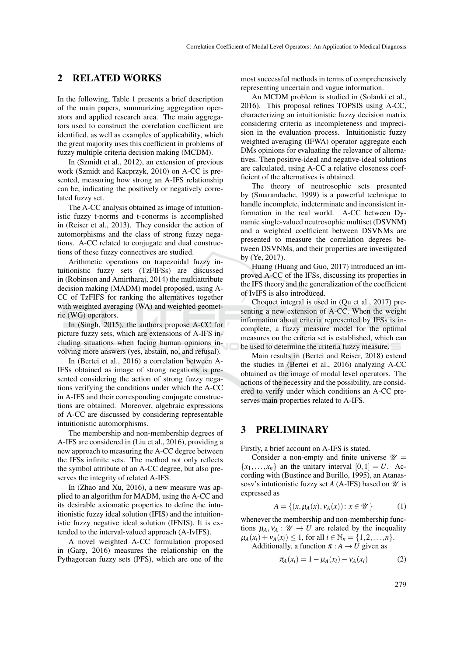### 2 RELATED WORKS

In the following, Table 1 presents a brief description of the main papers, summarizing aggregation operators and applied research area. The main aggregators used to construct the correlation coefficient are identified, as well as examples of applicability, which the great majority uses this coefficient in problems of fuzzy multiple criteria decision making (MCDM).

In (Szmidt et al., 2012), an extension of previous work (Szmidt and Kacprzyk, 2010) on A-CC is presented, measuring how strong an A-IFS relationship can be, indicating the positively or negatively correlated fuzzy set.

The A-CC analysis obtained as image of intuitionistic fuzzy t-norms and t-conorms is accomplished in (Reiser et al., 2013). They consider the action of automorphisms and the class of strong fuzzy negations. A-CC related to conjugate and dual constructions of these fuzzy connectives are studied.

Arithmetic operations on trapezoidal fuzzy intuitionistic fuzzy sets (TzFIFSs) are discussed in (Robinson and Amirtharaj, 2014) the multiattribute decision making (MADM) model proposed, using A-CC of TzFIFS for ranking the alternatives together with weighted averaging (WA) and weighted geometric (WG) operators.

In (Singh, 2015), the authors propose A-CC for picture fuzzy sets, which are extensions of A-IFS including situations when facing human opinions involving more answers (yes, abstain, no, and refusal).

In (Bertei et al., 2016) a correlation between A-IFSs obtained as image of strong negations is presented considering the action of strong fuzzy negations verifying the conditions under which the A-CC in A-IFS and their corresponding conjugate constructions are obtained. Moreover, algebraic expressions of A-CC are discussed by considering representable intuitionistic automorphisms.

The membership and non-membership degrees of A-IFS are considered in (Liu et al., 2016), providing a new approach to measuring the A-CC degree between the IFSs infinite sets. The method not only reflects the symbol attribute of an A-CC degree, but also preserves the integrity of related A-IFS.

In (Zhao and Xu, 2016), a new measure was applied to an algorithm for MADM, using the A-CC and its desirable axiomatic properties to define the intuitionistic fuzzy ideal solution (IFIS) and the intuitionistic fuzzy negative ideal solution (IFNIS). It is extended to the interval-valued approach (A-IvIFS).

A novel weighted A-CC formulation proposed in (Garg, 2016) measures the relationship on the Pythagorean fuzzy sets (PFS), which are one of the most successful methods in terms of comprehensively representing uncertain and vague information.

An MCDM problem is studied in (Solanki et al., 2016). This proposal refines TOPSIS using A-CC, characterizing an intuitionistic fuzzy decision matrix considering criteria as incompleteness and imprecision in the evaluation process. Intuitionistic fuzzy weighted averaging (IFWA) operator aggregate each DMs opinions for evaluating the relevance of alternatives. Then positive-ideal and negative-ideal solutions are calculated, using A-CC a relative closeness coefficient of the alternatives is obtained.

The theory of neutrosophic sets presented by (Smarandache, 1999) is a powerful technique to handle incomplete, indeterminate and inconsistent information in the real world. A-CC between Dynamic single-valued neutrosophic multiset (DSVNM) and a weighted coefficient between DSVNMs are presented to measure the correlation degrees between DSVNMs, and their properties are investigated by (Ye, 2017).

Huang (Huang and Guo, 2017) introduced an improved A-CC of the IFSs, discussing its properties in the IFS theory and the generalization of the coefficient of IvIFS is also introduced.

Choquet integral is used in (Qu et al., 2017) presenting a new extension of A-CC. When the weight information about criteria represented by IFSs is incomplete, a fuzzy measure model for the optimal measures on the criteria set is established, which can be used to determine the criteria fuzzy measure.

Main results in (Bertei and Reiser, 2018) extend the studies in (Bertei et al., 2016) analyzing A-CC obtained as the image of modal level operators. The actions of the necessity and the possibility, are considered to verify under which conditions an A-CC preserves main properties related to A-IFS.

### 3 PRELIMINARY

Firstly, a brief account on A-IFS is stated.

Consider a non-empty and finite universe  $\mathscr{U}$  =  ${x_1, \ldots, x_n}$  an the unitary interval  $[0,1] = U$ . According with (Bustince and Burillo, 1995), an Atanassosv's intutionistic fuzzy set *A* (A-IFS) based on  $\mathcal{U}$  is expressed as

$$
A = \{(x, \mu_A(x), \nu_A(x)) : x \in \mathcal{U}\}\
$$
 (1)

whenever the membership and non-membership functions  $\mu_A$ ,  $\nu_A$  :  $\mathcal{U} \to U$  are related by the inequality  $\mu_A(x_i) + \nu_A(x_i) \leq 1$ , for all  $i \in \mathbb{N}_n = \{1, 2, ..., n\}.$ 

Additionally, a function  $\pi : A \rightarrow U$  given as

$$
\pi_A(x_i) = 1 - \mu_A(x_i) - \nu_A(x_i)
$$
 (2)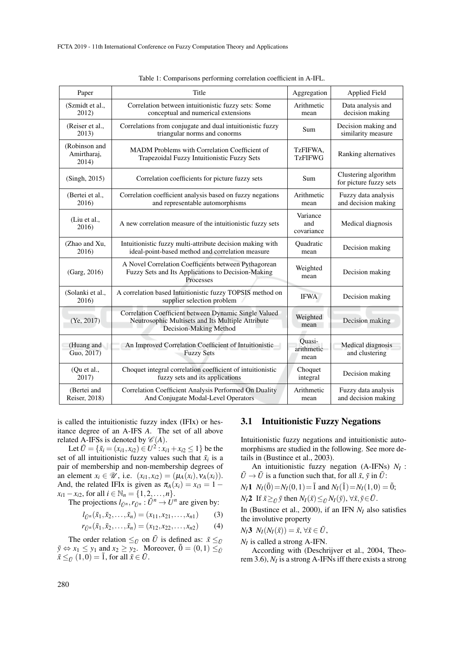| Paper                                                                                                                        | Title                                                                                                                                |                              | <b>Applied Field</b>                           |  |
|------------------------------------------------------------------------------------------------------------------------------|--------------------------------------------------------------------------------------------------------------------------------------|------------------------------|------------------------------------------------|--|
| (Szmidt et al.,<br>2012                                                                                                      | Correlation between intuitionistic fuzzy sets: Some<br>conceptual and numerical extensions                                           | Arithmetic<br>mean           | Data analysis and<br>decision making           |  |
| (Reiser et al.,<br>2013)                                                                                                     | Correlations from conjugate and dual intuitionistic fuzzy<br>triangular norms and conorms                                            | Sum                          | Decision making and<br>similarity measure      |  |
| (Robinson and<br>Amirtharaj,<br>2014)                                                                                        | MADM Problems with Correlation Coefficient of<br>Trapezoidal Fuzzy Intuitionistic Fuzzy Sets                                         | TzFIFWA,<br><b>TzFIFWG</b>   | Ranking alternatives                           |  |
| (Singh, 2015)                                                                                                                | Correlation coefficients for picture fuzzy sets                                                                                      | Sum                          | Clustering algorithm<br>for picture fuzzy sets |  |
| (Bertei et al.,<br>2016)                                                                                                     | Correlation coefficient analysis based on fuzzy negations<br>and representable automorphisms                                         | Arithmetic<br>mean           | Fuzzy data analysis<br>and decision making     |  |
| (Liu et al.,<br>2016)                                                                                                        | Variance<br>and<br>A new correlation measure of the intuitionistic fuzzy sets<br>covariance                                          |                              | Medical diagnosis                              |  |
| (Zhao and Xu,<br>2016)                                                                                                       | Intuitionistic fuzzy multi-attribute decision making with<br>ideal-point-based method and correlation measure                        | Quadratic<br>mean            | Decision making                                |  |
| (Garg, 2016)                                                                                                                 | A Novel Correlation Coefficients between Pythagorean<br>Fuzzy Sets and Its Applications to Decision-Making<br>Processes              | Weighted<br>mean             | Decision making                                |  |
| (Solanki et al.,<br>2016)                                                                                                    | A correlation based Intuitionistic fuzzy TOPSIS method on<br>supplier selection problem                                              | <b>IFWA</b>                  | Decision making                                |  |
| (Ye, 2017)                                                                                                                   | Correlation Coefficient between Dynamic Single Valued<br>Neutrosophic Multisets and Its Multiple Attribute<br>Decision-Making Method | Weighted<br>mean             | Decision making                                |  |
| (Huang and<br>Guo, 2017)                                                                                                     | An Improved Correlation Coefficient of Intuitionistic<br><b>Fuzzy Sets</b>                                                           | Ouasi-<br>arithmetic<br>mean | Medical diagnosis<br>and clustering            |  |
| (Qu et al.,<br>2017)                                                                                                         | Choquet integral correlation coefficient of intuitionistic<br>fuzzy sets and its applications                                        |                              | Decision making                                |  |
| (Bertei and<br>Correlation Coefficient Analysis Performed On Duality<br>Reiser, 2018)<br>And Conjugate Modal-Level Operators |                                                                                                                                      | Arithmetic<br>mean           | Fuzzy data analysis<br>and decision making     |  |

Table 1: Comparisons performing correlation coefficient in A-IFL.

is called the intuitionistic fuzzy index (IFIx) or hesitance degree of an A-IFS *A*. The set of all above related A-IFSs is denoted by  $\mathcal{C}(A)$ .

Let  $\tilde{U} = \{ \tilde{x}_i = (x_{i1}, x_{i2}) \in U^2 : x_{i1} + x_{i2} \le 1 \}$  be the set of all intuitionistic fuzzy values such that  $\tilde{x}_i$  is a pair of membership and non-membership degrees of an element  $x_i \in \mathcal{U}$ , i.e.  $(x_{i1}, x_{i2}) = (\mu_A(x_i), \nu_A(x_i)).$ And, the related IFIx is given as  $\pi_A(x_i) = x_{i3} = 1$ *x*<sub>*i*1</sub> − *x*<sub>*i*2</sub>, for all *i* ∈  $\mathbb{N}_n = \{1, 2, ..., n\}.$ 

The projections  $l_{\tilde{U}^n}, r_{\tilde{U}^n} : \tilde{U}^n \to \tilde{U}^n$  are given by:

$$
l_{\tilde{U}^n}(\tilde{x}_1, \tilde{x}_2, \dots, \tilde{x}_n) = (x_{11}, x_{21}, \dots, x_{n1})
$$
 (3)

$$
r_{\tilde{U}^n}(\tilde{x}_1, \tilde{x}_2, \dots, \tilde{x}_n) = (x_{12}, x_{22}, \dots, x_{n2})
$$
 (4)

The order relation  $\leq_{\tilde{U}}$  on  $\tilde{U}$  is defined as:  $\tilde{x} \leq_{\tilde{U}}$  $\tilde{y} \Leftrightarrow x_1 \leq y_1$  and  $x_2 \geq y_2$ . Moreover,  $\tilde{0} = (0,1) \leq \tilde{y}$  $\tilde{x} \leq_{\tilde{U}} (1,0) = \tilde{1}$ , for all  $\tilde{x} \in \tilde{U}$ .

#### 3.1 Intuitionistic Fuzzy Negations

Intuitionistic fuzzy negations and intuitionistic automorphisms are studied in the following. See more details in (Bustince et al., 2003).

An intuitionistic fuzzy negation (A-IFNs) *N<sup>I</sup>* :  $\tilde{U} \rightarrow \tilde{U}$  is a function such that, for all  $\tilde{x}$ ,  $\tilde{y}$  in  $\tilde{U}$ :

 $N_I$ **1**  $N_I(\tilde{0}) = N_I(0, 1) = \tilde{1}$  and  $N_I(\tilde{1}) = N_I(1, 0) = \tilde{0}$ ;

 $N_I$ **2** If  $\tilde{x} \geq_{\tilde{U}} \tilde{y}$  then  $N_I(\tilde{x}) \leq_{\tilde{U}} N_I(\tilde{y}), \forall \tilde{x}, \tilde{y} \in \tilde{U}$ .

In (Bustince et al., 2000), if an IFN *N<sup>I</sup>* also satisfies the involutive property

 $N_I$ **3**  $N_I(N_I(\tilde{x})) = \tilde{x}, \forall \tilde{x} \in \tilde{U}$ ,

*NI* is called a strong A-IFN.

According with (Deschrijver et al., 2004, Theorem 3.6), *N<sup>I</sup>* is a strong A-IFNs iff there exists a strong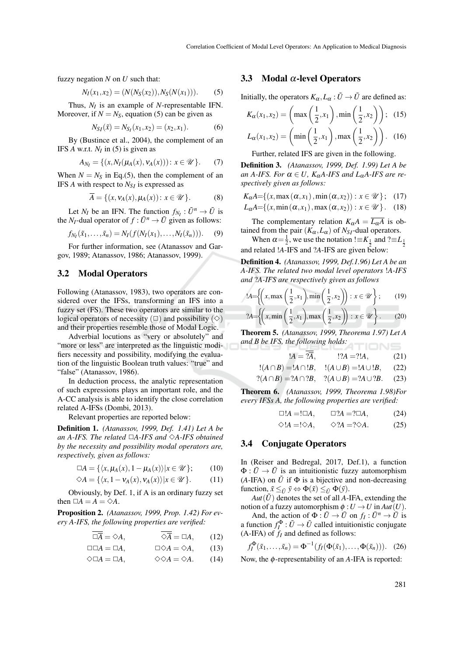fuzzy negation *N* on *U* such that:

$$
N_I(x_1, x_2) = (N(N_S(x_2)), N_S(N(x_1))).
$$
 (5)

Thus, *N<sup>I</sup>* is an example of *N*-representable IFN. Moreover, if  $N = N<sub>S</sub>$ , equation (5) can be given as

$$
N_{SI}(\tilde{x}) = N_{S_I}(x_1, x_2) = (x_2, x_1). \tag{6}
$$

By (Bustince et al., 2004), the complement of an IFS  $A$  w.r.t.  $N_I$  in (5) is given as

$$
A_{N_I} = \{ (x, N_I(\mu_A(x), \nu_A(x))) : x \in \mathcal{U} \}.
$$
 (7)

When  $N = N<sub>S</sub>$  in Eq.(5), then the complement of an IFS *A* with respect to *NSI* is expressed as

$$
\overline{A} = \{(x, v_A(x), \mu_A(x)) : x \in \mathcal{U}\}.
$$
 (8)

Let *N<sub>I</sub>* be an IFN. The function  $f_{N_I}: \tilde{U}^n \to \tilde{U}$  is the *N<sub>I</sub>*-dual operator of  $f : \tilde{U}^n \to \tilde{U}$  given as follows:

$$
f_{N_I}(\tilde{x}_1,\ldots,\tilde{x}_n)=N_I(f(N_I(x_1),\ldots,N_I(\tilde{x}_n))).\qquad(9)
$$

For further information, see (Atanassov and Gargov, 1989; Atanassov, 1986; Atanassov, 1999).

#### 3.2 Modal Operators

Following (Atanassov, 1983), two operators are considered over the IFSs, transforming an IFS into a fuzzy set (FS). These two operators are similar to the logical operators of necessity  $(\Box)$  and possibility  $(\Diamond)$ and their properties resemble those of Modal Logic.

Adverbial locutions as "very or absolutely" and "more or less" are interpreted as the linguistic modifiers necessity and possibility, modifying the evaluation of the linguistic Boolean truth values: "true" and "false" (Atanassov, 1986).

In deduction process, the analytic representation of such expressions plays an important role, and the A-CC analysis is able to identify the close correlation related A-IFSs (Dombi, 2013).

Relevant properties are reported below:

Definition 1. *(Atanassov, 1999, Def. 1.41) Let A be an A-IFS. The related* ✷*A-IFS and* ✸*A-IFS obtained by the necessity and possibility modal operators are, respectively, given as follows:*

$$
\Box A = \{ \langle x, \mu_A(x), 1 - \mu_A(x) \rangle | x \in \mathcal{U} \};\tag{10}
$$

$$
\diamondsuit A = \{ \langle x, 1 - \mathsf{v}_A(x), \mathsf{v}_A(x) \rangle | x \in \mathscr{U} \}. \tag{11}
$$

Obviously, by Def. 1, if A is an ordinary fuzzy set then  $\Box A = A = \Diamond A$ .

Proposition 2. *(Atanassov, 1999, Prop. 1.42) For every A-IFS, the following properties are verified:*

$$
\Box \overline{A} = \Diamond A, \qquad \Diamond \overline{A} = \Box A, \qquad (12)
$$

$$
\Box \Box A = \Box A, \qquad \Box \Diamond A = \Diamond A, \qquad (13)
$$

$$
\diamondsuit \Box A = \Box A, \qquad \diamondsuit \diamondsuit A = \diamondsuit A. \qquad (14)
$$

#### 3.3 Modal α-level Operators

Initially, the operators  $K_{\alpha}$ ,  $L_{\alpha}$  :  $\tilde{U} \rightarrow \tilde{U}$  are defined as:

$$
K_{\alpha}(x_1, x_2) = \left(\max\left(\frac{1}{2}, x_1\right), \min\left(\frac{1}{2}, x_2\right)\right); \quad (15)
$$

$$
L_{\alpha}(x_1, x_2) = \left(\min\left(\frac{1}{2}, x_1\right), \max\left(\frac{1}{2}, x_2\right)\right). \quad (16)
$$

Further, related IFS are given in the following.

Definition 3. *(Atanassov, 1999, Def. 1.99) Let A be an A-IFS. For*  $\alpha \in U$ ,  $K_{\alpha}A$ -*IFS and L*<sub> $\alpha$ </sub>*A-IFS are respectively given as follows:*

$$
K_{\alpha}A = \{(x, \max(\alpha, x_1), \min(\alpha, x_2)) : x \in \mathcal{U}\}; \quad (17)
$$
  
\n
$$
L_{\alpha}A = \{(x, \min(\alpha, x_1), \max(\alpha, x_2)) : x \in \mathcal{U}\}.
$$
 (18)

The complementary relation  $K_{\alpha}A = \overline{L_{\alpha}A}$  is obtained from the pair  $(K_{\alpha}, L_{\alpha})$  of  $N_{SI}$ -dual operators.

When  $\alpha = \frac{1}{2}$ , we use the notation  $\alpha = K_1$  and  $\alpha = L_2$ and related !*A*-IFS and ?*A*-IFS are given below:

Definition 4. *(Atanassov, 1999, Def.1.96) Let A be an A-IFS. The related two modal level operators* !*A-IFS and* ?*A-IFS are respectively given as follows*

$$
!A = \left\{ \left( x, \max\left( \frac{1}{2}, x_1 \right), \min\left( \frac{1}{2}, x_2 \right) \right) : x \in \mathcal{U} \right\};\tag{19}
$$

$$
?A = \left\{ \left( x, \min\left( \frac{1}{2}, x_1 \right), \max\left( \frac{1}{2}, x_2 \right) \right) : x \in \mathcal{U} \right\}.\tag{20}
$$

Theorem 5. *(Atanassov, 1999, Theorema 1.97) Let A and B be IFS, the following holds:*

$$
!A = \overline{?A}, \qquad \qquad !?A = ?!A, \tag{21}
$$

$$
!(A \cap B) = !A \cap !B
$$
,  $!(A \cup B) = !A \cup !B$ , (22)  
 $?(A \cap B) = ?A \cap ?B$ ,  $?(A \cup B) = ?A \cup ?B$ . (23)

Theorem 6. *(Atanassov, 1999, Theorema 1.98)For every IFSs A, the following properties are verified:*

$$
\Box!A = !\Box A, \qquad \Box?A = ?\Box A, \tag{24}
$$

$$
\diamondsuit!A = ! \diamondsuit A, \qquad \diamondsuit?A = ? \diamondsuit A. \tag{25}
$$

#### 3.4 Conjugate Operators

In (Reiser and Bedregal, 2017, Def.1), a function  $\Phi : \tilde{U} \to \tilde{U}$  is an intuitionistic fuzzy automorphism (*A*-IFA) on  $\tilde{U}$  if  $\Phi$  is a bijective and non-decreasing function,  $\tilde{x} \leq_{\tilde{U}} \tilde{y} \Leftrightarrow \Phi(\tilde{x}) \leq_{\tilde{U}} \Phi(\tilde{y})$ .

 $Aut(\tilde{U})$  denotes the set of all *A*-IFA, extending the notion of a fuzzy automorphism  $\phi: U \to U$  in  $Aut(U)$ .

And, the action of  $\Phi: \tilde{U} \to \tilde{U}$  on  $f_I: \tilde{U}^n \to \tilde{U}$  is a function  $f_I^{\Phi}$  :  $\tilde{U} \to \tilde{U}$  called intuitionistic conjugate (A-IFA) of *f<sup>I</sup>* and defined as follows:

$$
f_I^{\Phi}(\tilde{x}_1,\ldots,\tilde{x}_n)=\Phi^{-1}(f_I(\Phi(\tilde{x}_1),\ldots,\Phi(\tilde{x}_n))).\quad(26)
$$

Now, the φ-representability of an *A*-IFA is reported: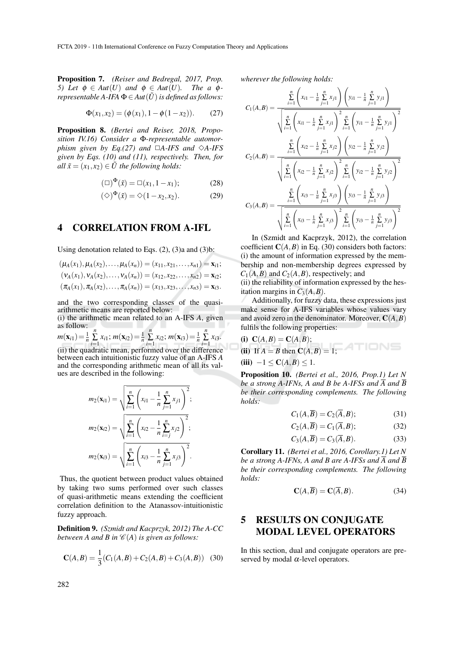Proposition 7. *(Reiser and Bedregal, 2017, Prop. 5)* Let  $\phi \in Aut(U)$  and  $\phi \in Aut(U)$ . The a  $\phi$ *representable A-IFA*  $\Phi \in Aut(\tilde{U})$  *is defined as follows:* 

$$
\Phi(x_1, x_2) = (\phi(x_1), 1 - \phi(1 - x_2)).
$$
 (27)

Proposition 8. *(Bertei and Reiser, 2018, Proposition IV.16) Consider a* Φ*-representable automorphism given by Eq.(27) and*  $\Box A$ -*IFS and*  $\diamond A$ -*IFS given by Eqs. (10) and (11), respectively. Then, for all*  $\tilde{x} = (x_1, x_2) \in \tilde{U}$  *the following holds:* 

$$
(\Box)^{\Phi}(\tilde{x}) = \Box(x_1, 1 - x_1); \tag{28}
$$

$$
(\diamond)^{\Phi}(\tilde{x}) = \diamond (1 - x_2, x_2). \tag{29}
$$

### 4 CORRELATION FROM A-IFL

Using denotation related to Eqs. (2), (3)a and (3)b:

$$
(\mu_A(x_1), \mu_A(x_2), \dots, \mu_A(x_n)) = (x_{11}, x_{21}, \dots, x_{n1}) = \mathbf{x}_{i1};
$$
  
\n
$$
(\nu_A(x_1), \nu_A(x_2), \dots, \nu_A(x_n)) = (x_{12}, x_{22}, \dots, x_{n2}) = \mathbf{x}_{i2};
$$
  
\n
$$
(\pi_A(x_1), \pi_A(x_2), \dots, \pi_A(x_n)) = (x_{13}, x_{23}, \dots, x_{n3}) = \mathbf{x}_{i3}.
$$

and the two corresponding classes of the quasiarithmetic means are reported below:

(i) the arithmetic mean related to an A-IFS *A*, given as follow: *n*

$$
m(\mathbf{x}_{i1}) = \frac{1}{n} \sum_{i=1}^{n} x_{i1}; m(\mathbf{x}_{i2}) = \frac{1}{n} \sum_{i=1}^{n} x_{i2}; m(\mathbf{x}_{i3}) = \frac{1}{n} \sum_{i=1}^{n} x_{i3}.
$$
  
(ii) the quadratic mean, performed over the difference

between each intuitionistic fuzzy value of an A-IFS *A* and the corresponding arithmetic mean of all its values are described in the following:

$$
m_2(\mathbf{x}_{i1}) = \sqrt{\sum_{i=1}^n \left(x_{i1} - \frac{1}{n} \sum_{j=1}^n x_{j1}\right)^2};
$$
  
\n
$$
m_2(\mathbf{x}_{i2}) = \sqrt{\sum_{i=1}^n \left(x_{i2} - \frac{1}{n} \sum_{i=j}^n x_{j2}\right)^2};
$$
  
\n
$$
m_2(\mathbf{x}_{i3}) = \sqrt{\sum_{i=1}^n \left(x_{i3} - \frac{1}{n} \sum_{j=1}^n x_{j3}\right)^2}.
$$

Thus, the quotient between product values obtained by taking two sums performed over such classes of quasi-arithmetic means extending the coefficient correlation definition to the Atanassov-intuitionistic fuzzy approach.

Definition 9. *(Szmidt and Kacprzyk, 2012) The A-CC between A and B in*  $\mathcal{C}(A)$  *is given as follows:* 

$$
\mathbf{C}(A,B) = \frac{1}{3}(C_1(A,B) + C_2(A,B) + C_3(A,B))
$$
 (30)

*wherever the following holds:*

$$
C_{1}(A,B) = \frac{\sum_{i=1}^{n} \left(x_{i1} - \frac{1}{n} \sum_{j=1}^{n} x_{j1}\right) \left(y_{i1} - \frac{1}{n} \sum_{j=1}^{n} y_{j1}\right)}{\sqrt{\sum_{i=1}^{n} \left(x_{i1} - \frac{1}{n} \sum_{j=1}^{n} x_{j1}\right)^{2} \sum_{i=1}^{n} \left(y_{i1} - \frac{1}{n} \sum_{j=1}^{n} y_{j1}\right)^{2}}
$$

$$
C_{2}(A,B) = \frac{\sum_{i=1}^{n} \left(x_{i2} - \frac{1}{n} \sum_{j=1}^{n} x_{j2}\right) \left(y_{i2} - \frac{1}{n} \sum_{j=1}^{n} y_{j2}\right)}{\sqrt{\sum_{i=1}^{n} \left(x_{i2} - \frac{1}{n} \sum_{j=1}^{n} x_{j2}\right)^{2} \sum_{i=1}^{n} \left(y_{i2} - \frac{1}{n} \sum_{j=1}^{n} y_{j2}\right)^{2}}
$$

$$
C_{3}(A,B) = \frac{\sum_{i=1}^{n} \left(x_{i3} - \frac{1}{n} \sum_{j=1}^{n} x_{j3}\right) \left(y_{i3} - \frac{1}{n} \sum_{j=1}^{n} y_{j3}\right)}{\sqrt{\sum_{i=1}^{n} \left(x_{i3} - \frac{1}{n} \sum_{j=1}^{n} x_{j3}\right)^{2} \sum_{i=1}^{n} \left(y_{i3} - \frac{1}{n} \sum_{j=1}^{n} y_{j3}\right)^{2}}}
$$

In (Szmidt and Kacprzyk, 2012), the correlation coefficient  $C(A, B)$  in Eq. (30) considers both factors: (i) the amount of information expressed by the membership and non-membership degrees expressed by  $C_1(A, B)$  and  $C_2(A, B)$ , respectively; and

(ii) the reliability of information expressed by the hesitation margins in  $C_3(A, B)$ .

Additionally, for fuzzy data, these expressions just make sense for A-IFS variables whose values vary and avoid zero in the denominator. Moreover, C(*A*,*B*) fulfils the following properties:

(i) 
$$
C(A, B) = C(A, B);
$$
  
\n(ii) If  $A = B$  then  $C(A, B) = 1;$   
\n(iii)  $-1 \le C(A, B) \le 1.$ 

Proposition 10. *(Bertei et al., 2016, Prop.1) Let N be a strong A-IFNs, A and B be A-IFSs and*  $\overline{A}$  *and*  $\overline{B}$ *be their corresponding complements. The following holds:*

$$
C_1(A,\overline{B}) = C_2(\overline{A},B); \tag{31}
$$

$$
C_2(A,\overline{B}) = C_1(\overline{A},B); \tag{32}
$$

$$
C_3(A,\overline{B}) = C_3(\overline{A},B). \tag{33}
$$

Corollary 11. *(Bertei et al., 2016, Corollary.1) Let N be a strong A-IFNs, A and B are A-IFSs and*  $\overline{A}$  *and*  $\overline{B}$ *be their corresponding complements. The following holds:*

$$
\mathbf{C}(A,\overline{B}) = \mathbf{C}(A,B). \tag{34}
$$

## 5 RESULTS ON CONJUGATE MODAL LEVEL OPERATORS

In this section, dual and conjugate operators are preserved by modal  $\alpha$ -level operators.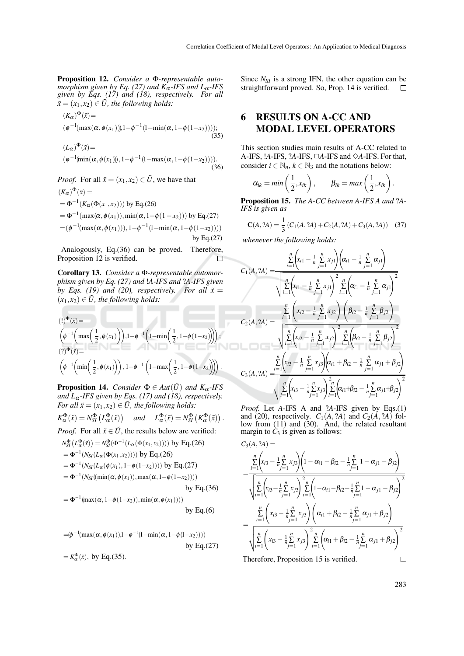Proposition 12. *Consider a* Φ*-representable automorphism given by Eq. (27) and K*α*-IFS and L*α*-IFS given by Eqs. (17) and (18), respectively. For all*  $\tilde{x} = (x_1, x_2) \in \tilde{U}$ , the following holds:

$$
(K_{\alpha})^{\Phi}(\tilde{x}) =
$$
  
\n
$$
(\phi^{-1}(\max(\alpha, \phi(x_1))), 1 - \phi^{-1}(1 - \min(\alpha, 1 - \phi(1 - x_2)))));
$$
  
\n
$$
(L_{\alpha})^{\Phi}(\tilde{x}) =
$$
  
\n
$$
(\phi^{-1}(\min(\alpha, \phi(x_1))), 1 - \phi^{-1}(1 - \max(\alpha, 1 - \phi(1 - x_2))))).
$$
  
\n(36)

*Proof.* For all  $\tilde{x} = (x_1, x_2) \in \tilde{U}$ , we have that  $(K_{\alpha})^{\Phi}(\tilde{x}) =$  $= \Phi^{-1}(K_{\alpha}(\Phi(x_1, x_2)))$  by Eq.(26)  $=$  Φ<sup>-1</sup>(max(α, φ(x<sub>1</sub>)), min(α, 1−φ(1 − x<sub>2</sub>))) by Eq.(27)

$$
= (\phi^{-1}(\max(\alpha, \phi(x_1))), 1-\phi^{-1}(1-\min(\alpha, 1-\phi(1-x_2))))
$$
  
by Eq.(27)

Analogously, Eq.(36) can be proved. Therefore, Proposition 12 is verified.  $\Box$ 

Corollary 13. *Consider a* Φ*-representable automorphism given by Eq. (27) and* !*A-IFS and* ?*A-IFS given by Eqs. (19) and (20), respectively. For all*  $\tilde{x} =$  $(x_1, x_2) \in \tilde{U}$ , the following holds:

$$
(1)^{\Phi}(\tilde{x}) =
$$
\n
$$
\left(\phi^{-1}\left(\max\left(\frac{1}{2}, \phi(x_1)\right)\right), 1-\phi^{-1}\left(1-\min\left(\frac{1}{2}, 1-\phi(1-x_2)\right)\right)\right);
$$
\n
$$
(2)^{\Phi}(\tilde{x}) =
$$
\n
$$
\left(\phi^{-1}\left(\min\left(\frac{1}{2}, \phi(x_1)\right)\right), 1-\phi^{-1}\left(1-\max\left(\frac{1}{2}, 1-\phi(1-x_2)\right)\right)\right).
$$

**Proposition 14.** *Consider*  $\Phi \in Aut(\tilde{U})$  *and*  $K_{\alpha}$ -IFS *and L*α*-IFS given by Eqs. (17) and (18), respectively. For all*  $\tilde{x} = (x_1, x_2) \in \tilde{U}$ , the following holds:

$$
K_{\alpha}^{\Phi}(\tilde{x}) = N_{SI}^{\Phi} (L_{\alpha}^{\Phi}(\tilde{x})) \quad \text{and} \quad L_{\alpha}^{\Phi}(\tilde{x}) = N_{SI}^{\Phi} (K_{\alpha}^{\Phi}(\tilde{x})).
$$

*Proof.* For all  $\tilde{x} \in \tilde{U}$ , the results below are verified:

 $N_{SI}^{\Phi}(L_{\alpha}^{\Phi}(\tilde{x})) = N_{SI}^{\Phi}(\Phi^{-1}(L_{\alpha}(\Phi(x_1, x_2))))$  by Eq.(26)  $= \Phi^{-1}(N_{SI}(L_{\alpha}(\Phi(x_1, x_2))))$  by Eq.(26)  $= \Phi^{-1}(N_{SI}(L_{\alpha}(\phi(x_1), 1-\phi(1-x_2))))$  by Eq.(27)  $= \Phi^{-1}(N_{SI}(\min(\alpha, \phi(x_1)), \max(\alpha, 1-\phi(1-x_2))))$ by Eq.(36)  $= \Phi^{-1}(\max(\alpha, 1-\phi(1-x_2)), \min(\alpha, \phi(x_1))))$ 

$$
by Eq.(6)
$$

$$
= (\phi^{-1}(\max(\alpha, \phi(x_1)), 1 - \phi^{-1}(1 - \min(\alpha, 1 - \phi(1 - x_2))))
$$
  
by Eq.(27)  

$$
= K_{\alpha}^{\Phi}(\tilde{x}), \text{ by Eq.(35)}.
$$

Since  $N_{SI}$  is a strong IFN, the other equation can be straightforward proved. So, Prop. 14 is verified.  $\Box$ 

# 6 RESULTS ON A-CC AND MODAL LEVEL OPERATORS

This section studies main results of A-CC related to A-IFS, !*A*-IFS, ?*A*-IFS, ✷*A*-IFS and ✸*A*-IFS. For that, consider  $i \in \mathbb{N}_n$ ,  $k \in \mathbb{N}_3$  and the notations below:

$$
\alpha_{ik} = min\left(\frac{1}{2}, x_{ik}\right), \qquad \beta_{ik} = max\left(\frac{1}{2}, x_{ik}\right).
$$

Proposition 15. *The A-CC between A-IFS A and* ?*A-IFS is given as*

$$
\mathbf{C}(A, ?A) = \frac{1}{3} \left( C_1(A, ?A) + C_2(A, ?A) + C_3(A, ?A) \right) \tag{37}
$$

*whenever the following holds:*

$$
C_{1}(A, ?A) = \frac{\sum_{i=1}^{n} \left(x_{i1} - \frac{1}{n} \sum_{j=1}^{n} x_{j1}\right) \left(\alpha_{i1} - \frac{1}{n} \sum_{j=1}^{n} \alpha_{j1}\right)}{\sqrt{\sum_{i=1}^{n} \left(x_{i1} - \frac{1}{n} \sum_{j=1}^{n} x_{j1}\right)^{2} \sum_{i=1}^{n} \left(\alpha_{i1} - \frac{1}{n} \sum_{j=1}^{n} \alpha_{j1}\right)^{2}}
$$
\n
$$
C_{2}(A, ?A) = \frac{\sum_{i=1}^{n} \left(x_{i2} - \frac{1}{n} \sum_{j=1}^{n} x_{j2}\right) \left(\beta_{i2} - \frac{1}{n} \sum_{j=1}^{n} \beta_{j2}\right)}{\sqrt{\sum_{i=1}^{n} \left(x_{i2} - \frac{1}{n} \sum_{j=1}^{n} x_{j2}\right)^{2} \sum_{i=1}^{n} \left(\beta_{i2} - \frac{1}{n} \sum_{j=1}^{n} \beta_{j2}\right)^{2}}
$$
\n
$$
C_{3}(A, ?A) = \frac{\sum_{i=1}^{n} \left(x_{i3} - \frac{1}{n} \sum_{j=1}^{n} x_{j3}\right) \left(\alpha_{i1} + \beta_{i2} - \frac{1}{n} \sum_{j=1}^{n} \alpha_{j1} + \beta_{j2}\right)}{\sqrt{\sum_{i=1}^{n} \left(x_{i3} - \frac{1}{n} \sum_{j=1}^{n} x_{j3}\right) \sum_{i=1}^{n} \left(\alpha_{i1} + \beta_{i2} - \frac{1}{n} \sum_{j=1}^{n} \alpha_{j1} + \beta_{j2}\right)^{2}}
$$

*Proof.* Let *A*-IFS A and ?*A*-IFS given by Eqs.(1) and (20), respectively.  $C_1(A, ?A)$  and  $C_2(A, ?A)$  follow from (11) and (30). And, the related resultant margin to  $\hat{C}_3$  is given as follows:

$$
C_{3}(A, ?A) =
$$
\n
$$
= \frac{\sum_{i=1}^{n} \left(x_{i3} - \frac{1}{n} \sum_{j=1}^{n} x_{j3}\right) \left(1 - \alpha_{i1} - \beta_{i2} - \frac{1}{n} \sum_{j=1}^{n} 1 - \alpha_{j1} - \beta_{j2}\right)}{\sqrt{\sum_{i=1}^{n} \left(x_{i3} - \frac{1}{n} \sum_{j=1}^{n} x_{j3}\right) \sum_{i=1}^{n} \left(1 - \alpha_{i1} - \beta_{i2} - \frac{1}{n} \sum_{j=1}^{n} 1 - \alpha_{j1} - \beta_{j2}\right)^{2}}
$$
\n
$$
= \frac{\sum_{i=1}^{n} \left(x_{i3} - \frac{1}{n} \sum_{j=1}^{n} x_{j3}\right) \left(\alpha_{i1} + \beta_{i2} - \frac{1}{n} \sum_{j=1}^{n} \alpha_{j1} + \beta_{j2}\right)}{\sqrt{\sum_{i=1}^{n} \left(x_{i3} - \frac{1}{n} \sum_{j=1}^{n} x_{j3}\right) \sum_{i=1}^{n} \left(\alpha_{i1} + \beta_{i2} - \frac{1}{n} \sum_{j=1}^{n} \alpha_{j1} + \beta_{j2}\right)^{2}}
$$
\nTherefore, Proposition 15 is verified.

Therefore, Proposition 15 is verified.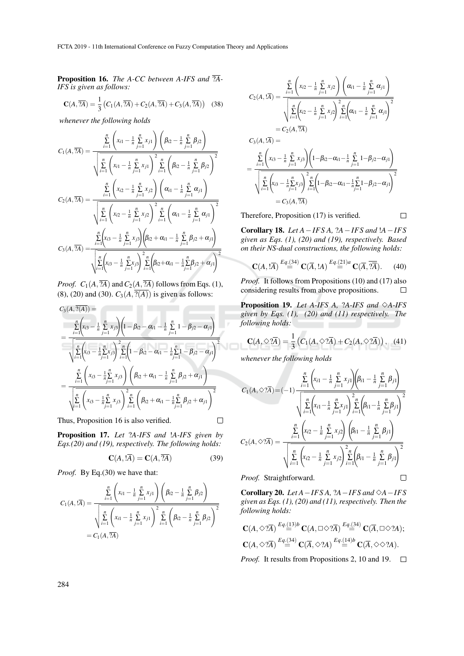Proposition 16. *The A-CC between A-IFS and* ?*A-IFS is given as follows:*

$$
\mathbf{C}(A,\overline{?A}) = \frac{1}{3} \left( C_1(A,\overline{?A}) + C_2(A,\overline{?A}) + C_3(A,\overline{?A}) \right) \tag{38}
$$

*whenever the following holds*

$$
C_{1}(A, \overline{?A}) = \frac{\sum_{i=1}^{n} \left(x_{i1} - \frac{1}{n} \sum_{j=1}^{n} x_{j1}\right) \left(\beta_{i2} - \frac{1}{n} \sum_{j=1}^{n} \beta_{j2}\right)}{\sqrt{\sum_{i=1}^{n} \left(x_{i1} - \frac{1}{n} \sum_{j=1}^{n} x_{j1}\right)^{2} \sum_{i=1}^{n} \left(\beta_{i2} - \frac{1}{n} \sum_{j=1}^{n} \beta_{j2}\right)^{2}}
$$

$$
C_{2}(A, \overline{?A}) = \frac{\sum_{i=1}^{n} \left(x_{i2} - \frac{1}{n} \sum_{j=1}^{n} x_{j2}\right) \left(\alpha_{i1} - \frac{1}{n} \sum_{j=1}^{n} \alpha_{j1}\right)}{\sqrt{\sum_{i=1}^{n} \left(x_{i2} - \frac{1}{n} \sum_{j=1}^{n} x_{j2}\right)^{2} \sum_{i=1}^{n} \left(\alpha_{i1} - \frac{1}{n} \sum_{j=1}^{n} \alpha_{j1}\right)^{2}}
$$

$$
C_{3}(A, \overline{?A}) = \frac{\sum_{i=1}^{n} \left(x_{i3} - \frac{1}{n} \sum_{j=1}^{n} x_{j3}\right) \left(\beta_{i2} + \alpha_{i1} - \frac{1}{n} \sum_{j=1}^{n} \beta_{j2} + \alpha_{j1}\right)}{\sqrt{\sum_{i=1}^{n} \left(x_{i3} - \frac{1}{n} \sum_{j=1}^{n} x_{j3}\right)^{2} \sum_{i=1}^{n} \left(\beta_{i2} + \alpha_{i1} - \frac{1}{n} \sum_{j=1}^{n} \beta_{j2} + \alpha_{j1}\right)^{2}}}
$$

*Proof.*  $C_1(A, \overline{?A})$  and  $C_2(A, \overline{?A})$  follows from Eqs. (1), (8), (20) and (30).  $C_3(A, \overline{?A)}$  is given as follows:

$$
C_{3}(A, ?(A)) =
$$
\n
$$
= \frac{\sum_{i=1}^{n} (x_{i3} - \frac{1}{n} \sum_{j=1}^{n} x_{j3}) \left(1 - \beta_{i2} - \alpha_{i1} - \frac{1}{n} \sum_{j=1}^{n} 1 - \beta_{j2} - \alpha_{j1}\right)}{\sqrt{\sum_{i=1}^{n} (x_{i3} - \frac{1}{n} \sum_{j=1}^{n} x_{j3}) \sum_{i=1}^{n} \left(1 - \beta_{i2} - \alpha_{i1} - \frac{1}{n} \sum_{j=1}^{n} 1 - \beta_{j2} - \alpha_{j1}\right)^{2}}
$$
\n
$$
= \frac{\sum_{i=1}^{n} \left(x_{i3} - \frac{1}{n} \sum_{j=1}^{n} x_{j3}\right) \left(\beta_{i2} + \alpha_{i1} - \frac{1}{n} \sum_{j=1}^{n} \beta_{j2} + \alpha_{j1}\right)}{\sqrt{\sum_{i=1}^{n} \left(x_{i3} - \frac{1}{n} \sum_{j=1}^{n} x_{j3}\right) \sum_{i=1}^{n} \left(\beta_{i2} + \alpha_{i1} - \frac{1}{n} \sum_{j=1}^{n} \beta_{j2} + \alpha_{j1}\right)^{2}}
$$

Thus, Proposition 16 is also verified.

Proposition 17. *Let* ?*A-IFS and* !*A-IFS given by Eqs.(20) and (19), respectively. The following holds:*

$$
\mathbf{C}(A,!\overline{A}) = \mathbf{C}(A,\overline{?A})
$$
 (39)

 $\Box$ 

*Proof.* By Eq.(30) we have that:

$$
C_1(A, \overline{A}) = \frac{\sum_{i=1}^n \left( x_{i1} - \frac{1}{n} \sum_{j=1}^n x_{j1} \right) \left( \beta_{i2} - \frac{1}{n} \sum_{j=1}^n \beta_{j2} \right)}{\sqrt{\sum_{i=1}^n \left( x_{i1} - \frac{1}{n} \sum_{j=1}^n x_{j1} \right)^2 \sum_{i=1}^n \left( \beta_{i2} - \frac{1}{n} \sum_{j=1}^n \beta_{j2} \right)^2}}
$$
  
=  $C_1(A, \overline{A})$ 

$$
C_{2}(A, \overline{!A}) = \frac{\sum_{i=1}^{n} \left(x_{i2} - \frac{1}{n} \sum_{j=1}^{n} x_{j2}\right) \left(\alpha_{i1} - \frac{1}{n} \sum_{j=1}^{n} \alpha_{j1}\right)}{\sqrt{\sum_{i=1}^{n} \left(x_{i2} - \frac{1}{n} \sum_{j=1}^{n} x_{j2}\right) \sum_{i=1}^{n} \left(\alpha_{i1} - \frac{1}{n} \sum_{j=1}^{n} \alpha_{j1}\right)^{2}}
$$
\n
$$
= C_{2}(A, \overline{?A})
$$
\n
$$
C_{3}(A, \overline{!A}) =
$$
\n
$$
= \frac{\sum_{i=1}^{n} \left(x_{i3} - \frac{1}{n} \sum_{j=1}^{n} x_{j3}\right) \left(1 - \beta_{i2} - \alpha_{i1} - \frac{1}{n} \sum_{j=1}^{n} 1 - \beta_{j2} - \alpha_{j1}\right)}{\sqrt{\sum_{i=1}^{n} \left(x_{i3} - \frac{1}{n} \sum_{j=1}^{n} x_{j3}\right) \sum_{i=1}^{n} \left(1 - \beta_{i2} - \alpha_{i1} - \frac{1}{n} \sum_{j=1}^{n} 1 - \beta_{j2} - \alpha_{j1}\right)^{2}}
$$
\n
$$
= C_{3}(A, \overline{?A})
$$

Therefore, Proposition (17) is verified.

Corollary 18. *Let A*−*IFS A,* ?*A*−*IFS and* !*A*−*IFS given as Eqs. (1), (20) and (19), respectively. Based on their NS-dual constructions, the following holds:*

$$
\mathbf{C}(A,!\overline{A}) \stackrel{Eq.(34)}{=} \mathbf{C}(\overline{A},!A) \stackrel{Eq.(21)a}{=} \mathbf{C}(\overline{A},!\overline{2A}). \tag{40}
$$

*Proof.* It follows from Propositions (10) and (17) also considering results from above propositions.  $\Box$ 

**Proposition 19.** *Let A-IFS A, ?A-IFS and*  $\diamond$ *A-IFS given by Eqs. (1), (20) and (11) respectively. The following holds:*  $\sim$ 

$$
\mathbf{C}(A,\diamondsuit ?\overline{A})=\frac{1}{3}\left(C_1(A,\diamondsuit ?\overline{A})+C_2(A,\diamondsuit ?\overline{A})\right),\quad(41)
$$

. . . *.* 

 $\Box$ 

*whenever the following holds*

$$
C_{1}(A, \diamondsuit\overline{A}) = (-1) \frac{\sum_{i=1}^{n} \left( x_{i1} - \frac{1}{n} \sum_{j=1}^{n} x_{j1} \right) \left( \beta_{i1} - \frac{1}{n} \sum_{j=1}^{n} \beta_{j1} \right)}{\sqrt{\sum_{i=1}^{n} \left( x_{i1} - \frac{1}{n} \sum_{j=1}^{n} x_{j1} \right) \sum_{i=1}^{n} \left( \beta_{i1} - \frac{1}{n} \sum_{j=1}^{n} \beta_{j1} \right)^{2}}
$$

$$
C_{2}(A, \diamondsuit\overline{A}) = \frac{\sum_{i=1}^{n} \left( x_{i2} - \frac{1}{n} \sum_{j=1}^{n} x_{j2} \right) \left( \beta_{i1} - \frac{1}{n} \sum_{j=1}^{n} \beta_{j1} \right)}{\sqrt{\sum_{i=1}^{n} \left( x_{i2} - \frac{1}{n} \sum_{j=1}^{n} x_{j2} \right) \sum_{i=1}^{n} \left( \beta_{i1} - \frac{1}{n} \sum_{j=1}^{n} \beta_{j1} \right)^{2}}
$$
*Proof.* Straightforward.

*Proof.* Straightforward.

Corollary 20. *Let*  $A-IFSA$ ,  $?A-IFS$  and  $\diamond A-IFS$ *given as Eqs. (1), (20) and (11), respectively. Then the following holds:*

$$
\mathbf{C}(A,\diamondsuit ?\overline{A}) \stackrel{Eq.(13)b}{=} \mathbf{C}(A,\square\diamondsuit ?\overline{A}) \stackrel{Eq.(34)}{=} \mathbf{C}(\overline{A},\square\diamondsuit ?A);
$$
  

$$
\mathbf{C}(A,\diamondsuit ?\overline{A}) \stackrel{Eq.(34)}{=} \mathbf{C}(\overline{A},\diamondsuit ?A) \stackrel{Eq.(14)b}{=} \mathbf{C}(\overline{A},\diamondsuit \diamondsuit ?A).
$$

*Proof.* It results from Propositions 2, 10 and 19.  $\Box$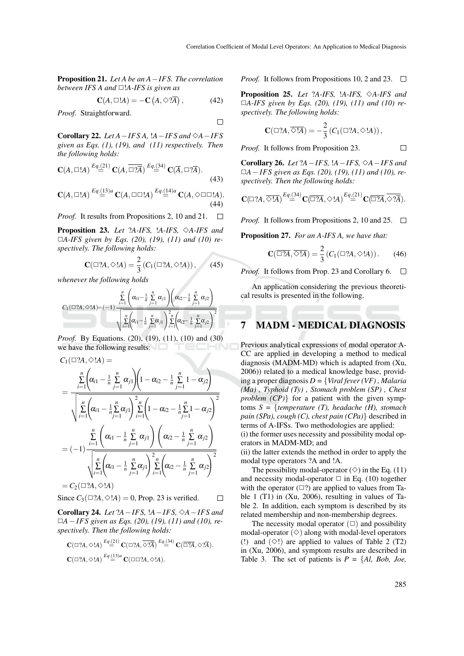Proposition 21. *Let A be an A*−*IFS. The correlation between IFS A and* □!*A-IFS is given as* 

$$
\mathbf{C}(A, \Box A) = -\mathbf{C}\left(A, \Diamond 2\overline{A}\right),\tag{42}
$$

 $\Box$ 

*Proof.* Straightforward.

Corollary 22. *Let A*−*IFS A,* !*A*−*IFS and* ✸*A*−*IFS given as Eqs. (1), (19), and (11) respectively. Then the following holds:*

$$
\mathbf{C}(A,\Box A) \stackrel{Eq.(21)}{=} \mathbf{C}(A,\overline{\Box ?A}) \stackrel{Eq.(34)}{=} \mathbf{C}(\overline{A},\Box ?\overline{A}).
$$
\n(43)

$$
\mathbf{C}(A,\Box A) \stackrel{Eq.(13)a}{=} \mathbf{C}(A,\Box \Box A) \stackrel{Eq.(14)a}{=} \mathbf{C}(A,\Diamond \Box \Box A).
$$
\n(44)

*Proof.* It results from Propositions 2, 10 and 21.  $\Box$ 

Proposition 23. *Let* ?*A-IFS,* !*A-IFS,* ✸*A-IFS and* ✷*A-IFS given by Eqs. (20), (19), (11) and (10) respectively. The following holds:*

$$
\mathbf{C}(\square ? A, \diamondsuit !A) = \frac{2}{3} (C_1(\square ? A, \diamondsuit !A)), \qquad (45)
$$

*whenever the following holds*

*C*1(✷?*A*,✸!*A*) =

$$
C_1(\square ? A, \diamondsuit A) = (-1) \frac{\sum\limits_{i=1}^{n} \left( \alpha_{i1} - \frac{1}{n} \sum\limits_{j=1}^{n} \alpha_{j1} \right) \left( \alpha_{i2} - \frac{1}{n} \sum\limits_{j=1}^{n} \alpha_{j2} \right)}{\sqrt{\sum\limits_{i=1}^{n} \left( \alpha_{i1} - \frac{1}{n} \sum\limits_{j=1}^{n} \alpha_{j1} \right) \sum\limits_{i=1}^{n} \left( \alpha_{i2} - \frac{1}{n} \sum\limits_{j=1}^{n} \alpha_{j2} \right)^2}}
$$

*Proof.* By Equations. (20), (19), (11), (10) and (30) we have the following results:

$$
C_{1}(\Box A, \Diamond A) =
$$
\n
$$
= \frac{\sum_{i=1}^{n} (\alpha_{i1} - \frac{1}{n} \sum_{j=1}^{n} \alpha_{j1}) (1 - \alpha_{i2} - \frac{1}{n} \sum_{j=1}^{n} 1 - \alpha_{j2})}{\sqrt{\sum_{i=1}^{n} (\alpha_{i1} - \frac{1}{n} \sum_{j=1}^{n} \alpha_{j1}) \sum_{i=1}^{n} (1 - \alpha_{i2} - \frac{1}{n} \sum_{j=1}^{n} 1 - \alpha_{j2})^2}}
$$
\n
$$
= (-1) \frac{\sum_{i=1}^{n} (\alpha_{i1} - \frac{1}{n} \sum_{j=1}^{n} \alpha_{j1}) (\alpha_{i2} - \frac{1}{n} \sum_{j=1}^{n} \alpha_{j2})}{\sqrt{\sum_{i=1}^{n} (\alpha_{i1} - \frac{1}{n} \sum_{j=1}^{n} \alpha_{j1}) \sum_{i=1}^{n} (\alpha_{i2} - \frac{1}{n} \sum_{j=1}^{n} \alpha_{j2})^2}}
$$
\n
$$
= C_{2}(\Box A, \Diamond A)
$$

Since  $C_3(\square ?A, \diamondsuit !A) = 0$ , Prop. 23 is verified.  $\Box$ 

Corollary 24. *Let* ?*A*−*IFS,* !*A*−*IFS,* ✸*A*−*IFS and* ✷*A*−*IFS given as Eqs. (20), (19), (11) and (10), respectively. Then the following holds:*

$$
\mathbf{C}(\square?A,\diamond A)\stackrel{Eq.(21)}{=} \mathbf{C}(\square?A,\overline{\diamond?A})\stackrel{Eq.(34)}{=} \mathbf{C}(\overline{\square?A},\diamond?A).
$$

$$
\mathbf{C}(\square?A,\diamond A)\stackrel{Eq.(13)a}{=} \mathbf{C}(\square\square?A,\diamond A).
$$

*Proof.* It follows from Propositions 10, 2 and 23.  $\Box$ 

Proposition 25. *Let* ?*A-IFS,* !*A-IFS,* ✸*A-IFS and* ✷*A-IFS given by Eqs. (20), (19), (11) and (10) respectively. The following holds:*

$$
\mathbf{C}(\square ? A, \overline{\diamondsuit !A}) = -\frac{2}{3} (C_1(\square ? A, \diamondsuit !A)),
$$

*Proof.* It follows from Proposition 23.

Corollary 26. *Let* ?*A*−*IFS,* !*A*−*IFS,* ✸*A*−*IFS and* ✷*A*−*IFS given as Eqs. (20), (19), (11) and (10), respectively. Then the following holds:*

$$
\mathbf{C}(\square?A,\overline{\diamondsuit!A})\stackrel{Eq.(34)}{=} \mathbf{C}(\overline{\square?A},\diamondsuit!A)\stackrel{Eq.(21)}{=} \mathbf{C}(\overline{\square?A},\overline{\diamondsuit?A}).
$$

*Proof.* It follows from Propositions 2, 10 and 25.  $\Box$ 

Proposition 27. *For an A-IFS A, we have that:*

$$
\mathbf{C}(\overline{\square ?A}, \overline{\diamondsuit !A}) = \frac{2}{3} (C_1(\square ?A, \diamondsuit !A)). \tag{46}
$$

*Proof.* It follows from Prop. 23 and Corollary 6.  $\Box$ 

An application considering the previous theoretical results is presented in the following.

### 7 MADM - MEDICAL DIAGNOSIS

Previous analytical expressions of modal operator A-CC are applied in developing a method to medical diagnosis (MADM-MD) which is adapted from (Xu, 2006)) related to a medical knowledge base, providing a proper diagnosis *D =* {*Viral fever (VF) , Malaria (Ma) , Typhoid (Ty) , Stomach problem (SP) , Chest problem (CP)*} for a patient with the given symptoms *S =* {*temperature (T), headache (H), stomach pain (SPa), cough (C), chest pain (CPa)*} described in terms of A-IFSs. Two methodologies are applied: (i) the former uses necessity and possibility modal operators in MADM-MD; and

(ii) the latter extends the method in order to apply the modal type operators ?A and !A.

The possibility modal-operator  $(\Diamond)$  in the Eq. (11) and necessity modal-operator  $\Box$  in Eq. (10) together with the operator  $(\square$ ?) are applied to values from Table 1 (T1) in (Xu, 2006), resulting in values of Table 2. In addition, each symptom is described by its related membership and non-membership degrees.

The necessity modal operator  $(\square)$  and possibility modal-operator  $(\diamond)$  along with modal-level operators (!) and  $(\diamond)$  are applied to values of Table 2 (T2) in (Xu, 2006), and symptom results are described in Table 3. The set of patients is *P =* {*Al, Bob, Joe,*

 $\Box$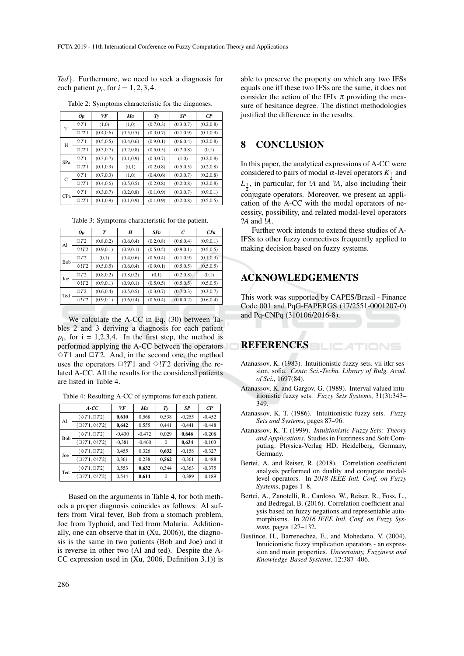*Ted*}. Furthermore, we need to seek a diagnosis for each patient  $p_i$ , for  $i = 1, 2, 3, 4$ .

|     | <b>Op</b>     | VF         | Ma         | T y        | SP         | $\mathbb{C}P$ |
|-----|---------------|------------|------------|------------|------------|---------------|
| T   | $\Diamond T1$ | (1,0)      | (1,0)      | (0.7, 0.3) | (0.3, 0.7) | (0.2, 0.8)    |
|     | $\Box$ ?71    | (0.4, 0.6) | (0.5, 0.5) | (0.3, 0.7) | (0.1, 0.9) | (0.1, 0.9)    |
| Н   | $\Diamond T1$ | (0.5, 0.5) | (0.4, 0.6) | (0.9, 0.1) | (0.6, 0.4) | (0.2, 0.8)    |
|     | $\Box$ ?71    | (0.3, 0.7) | (0.2, 0.8) | (0.5, 0.5) | (0.2, 0.8) | (0,1)         |
| SPa | $\Diamond T1$ | (0.3, 0.7) | (0.1, 0.9) | (0.3, 0.7) | (1,0)      | (0.2, 0.8)    |
|     | $\Box$ ?71    | (0.1, 0.9) | (0,1)      | (0.2, 0.8) | (0.5, 0.5) | (0.2, 0.8)    |
| С   | $\Diamond T1$ | (0.7, 0.3) | (1,0)      | (0.4, 0.6) | (0.3, 0.7) | (0.2, 0.8)    |
|     | $\Box$ ?71    | (0.4, 0.6) | (0.5, 0.5) | (0.2, 0.8) | (0.2, 0.8) | (0.2, 0.8)    |
| CPa | $\Diamond T1$ | (0.3, 0.7) | (0.2, 0.8) | (0.1, 0.9) | (0.3, 0.7) | (0.9, 0.1)    |
|     | $\Box$ ?71    | (0.1, 0.9) | (0.1, 0.9) | (0.1, 0.9) | (0.2, 0.8) | (0.5, 0.5)    |

Table 2: Symptoms characteristic for the diagnoses.

Table 3: Symptoms characteristic for the patient.

|     | Op             | T          | H          | <b>SPa</b> | C          | CPa        |
|-----|----------------|------------|------------|------------|------------|------------|
| Al  | $\Box T2$      | (0.8, 0.2) | (0.6, 0.4) | (0.2, 0.8) | (0.6, 0.4) | (0.9, 0.1) |
|     | $\Diamond$ !72 | (0.9, 0.1) | (0.9, 0.1) | (0.5, 0.5) | (0.9, 0.1) | (0.5, 0.5) |
| Bob | $\Box T2$      | (0,1)      | (0.4, 0.6) | (0.6, 0.4) | (0.1, 0.9) | (0.1, 0.9) |
|     | $\Diamond$ !72 | (0.5, 0.5) | (0.6, 0.4) | (0.9, 0.1) | (0.5, 0.5) | (0.5, 0.5) |
| Joe | $\Box T2$      | (0.8, 0.2) | (0.8, 0.2) | (0,1)      | (0.2, 0.8) | (0,1)      |
|     | $\Diamond$ !72 | (0.9, 0.1) | (0.9, 0.1) | (0.5, 0.5) | (0.5, 0.5) | (0.5, 0.5) |
| Ted | $\Box T2$      | (0.6, 0.4) | (0.5, 0.5) | (0.3, 0.7) | (0.7, 0.3) | (0.3, 0.7) |
|     | $\Diamond$ !72 | (0.9, 0.1) | (0.6, 0.4) | (0.6, 0.4) | (0.8, 0.2) | (0.6, 0.4) |

We calculate the A-CC in Eq. (30) between Tables 2 and 3 deriving a diagnosis for each patient  $p_i$ , for  $i = 1,2,3,4$ . In the first step, the method is performed applying the A-CC between the operators  $\Diamond$ *T*1 and  $\Box$ *T*2. And, in the second one, the method uses the operators  $\Box$ ?*T*1 and  $\Diamond$ !*T*2 deriving the related A-CC. All the results for the considered patients are listed in Table 4.

|     | A-CC                            | VF       | Ma       | $T_{y}$  | SP       | $\mathbb{C}P$ |
|-----|---------------------------------|----------|----------|----------|----------|---------------|
| Al  | $(\Diamond T1 \Box T2)$         | 0,610    | 0,568    | 0,538    | $-0,255$ | $-0,452$      |
|     | $(\square$ ?T1, $\diamond$ !T2) | 0,642    | 0,555    | 0,441    | $-0,441$ | $-0,448$      |
| Bob | $(\Diamond T1, \Box T2)$        | $-0,430$ | $-0,472$ | 0,029    | 0,646    | $-0,208$      |
|     | $(\square$ ?T1, $\diamond$ !T2) | $-0,381$ | $-0,460$ | $\Omega$ | 0,634    | $-0,103$      |
| Joe | $(\Diamond T1, \Box T2)$        | 0,455    | 0,326    | 0,632    | $-0,158$ | $-0,327$      |
|     | $(\square$ ?T1, $\diamond$ !T2) | 0,361    | 0,238    | 0,562    | $-0,361$ | $-0,488$      |
| Ted | $(\Diamond T1, \Box T2)$        | 0,553    | 0,632    | 0,344    | $-0,363$ | $-0,375$      |
|     | $(\square$ ?T1, $\diamond$ !T2) | 0,544    | 0,614    | $\Omega$ | $-0.389$ | $-0.189$      |

Based on the arguments in Table 4, for both methods a proper diagnosis coincides as follows: Al suffers from Viral fever, Bob from a stomach problem, Joe from Typhoid, and Ted from Malaria. Additionally, one can observe that in (Xu, 2006)), the diagnosis is the same in two patients (Bob and Joe) and it is reverse in other two (Al and ted). Despite the A-CC expression used in (Xu, 2006, Definition 3.1)) is

able to preserve the property on which any two IFSs equals one iff these two IFSs are the same, it does not consider the action of the IFIx  $\pi$  providing the measure of hesitance degree. The distinct methodologies justified the difference in the results.

### 8 CONCLUSION

In this paper, the analytical expressions of A-CC were considered to pairs of modal  $\alpha$ -level operators  $K_1$  and

*L*1 , in particular, for !*A* and ?*A*, also including their  $\overline{c}$  conjugate operators. Moreover, we present an application of the A-CC with the modal operators of necessity, possibility, and related modal-level operators ?*A* and !*A*.

Further work intends to extend these studies of A-IFSs to other fuzzy connectives frequently applied to making decision based on fuzzy systems.

### ACKNOWLEDGEMENTS

This work was supported by CAPES/Brasil - Finance Code 001 and PqG-FAPERGS (17/2551-0001207-0) and Pq-CNPq (310106/2016-8).

**REFERENCES BLICATIONS** 

- Atanassov, K. (1983). Intuitionistic fuzzy sets. vii itkr session. sofia. *Centr. Sci.-Techn. Library of Bulg. Acad. of Sci.*, 1697(84).
- Atanassov, K. and Gargov, G. (1989). Interval valued intuitionistic fuzzy sets. *Fuzzy Sets Systems*, 31(3):343– 349.
- Atanassov, K. T. (1986). Intuitionistic fuzzy sets. *Fuzzy Sets and Systems*, pages 87–96.
- Atanassov, K. T. (1999). *Intuitionistic Fuzzy Sets: Theory and Applications*. Studies in Fuzziness and Soft Computing. Physica-Verlag HD, Heidelberg, Germany, Germany.
- Bertei, A. and Reiser, R. (2018). Correlation coefficient analysis performed on duality and conjugate modallevel operators. In *2018 IEEE Intl. Conf. on Fuzzy Systems*, pages 1–8.
- Bertei, A., Zanotelli, R., Cardoso, W., Reiser, R., Foss, L., and Bedregal, B. (2016). Correlation coefficient analysis based on fuzzy negations and representable automorphisms. In *2016 IEEE Intl. Conf. on Fuzzy Systems*, pages 127–132.
- Bustince, H., Barrenechea, E., and Mohedano, V. (2004). Intuicionistic fuzzy implication operators - an expression and main properties. *Uncertainty, Fuzziness and Knowledge-Based Systems*, 12:387–406.